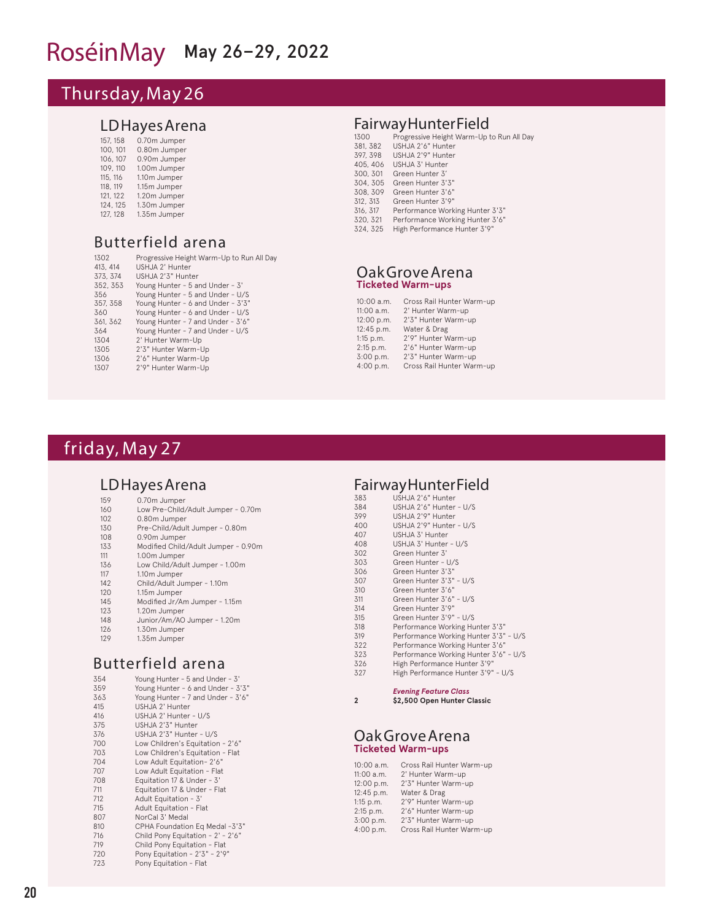# RoséinMay May 26-29, 2022

# Thursday, May 26

#### LD Hayes Arena

| 157, 158 | 0.70m Jumper |
|----------|--------------|
| 100, 101 | 0.80m Jumper |
| 106, 107 | 0.90m Jumper |
| 109, 110 | 1.00m Jumper |
| 115, 116 | 1.10m Jumper |
| 118, 119 | 1.15m Jumper |
| 121, 122 | 1.20m Jumper |
| 124, 125 | 1.30m Jumper |
| 127, 128 | 1.35m Jumper |

## Butterfield arena

| 1302     | Progressive Height Warm-Up to Run All Day |
|----------|-------------------------------------------|
| 413, 414 | USHJA 2' Hunter                           |
| 373, 374 | USHJA 2'3" Hunter                         |
| 352, 353 | Young Hunter - 5 and Under - 3'           |
| 356      | Young Hunter - 5 and Under - U/S          |
| 357, 358 | Young Hunter - 6 and Under - 3'3"         |
| 360      | Young Hunter - 6 and Under - U/S          |
| 361, 362 | Young Hunter - 7 and Under - 3'6"         |
| 364      | Young Hunter - 7 and Under - U/S          |
| 1304     | 2' Hunter Warm-Up                         |
| 1305     | 2'3" Hunter Warm-Up                       |
| 1306     | 2'6" Hunter Warm-Up                       |
| 1307     | 2'9" Hunter Warm-Up                       |
|          |                                           |

#### **Fairway Hunter Field**

| 1300     | Progressive Height Warm-Up to Run All Day |
|----------|-------------------------------------------|
| 381, 382 | USHJA 2'6" Hunter                         |
| 397, 398 | USHJA 2'9" Hunter                         |
| 405, 406 | USHJA 3' Hunter                           |
| 300, 301 | Green Hunter 3'                           |
| 304, 305 | Green Hunter 3'3"                         |
| 308, 309 | Green Hunter 3'6"                         |
| 312, 313 | Green Hunter 3'9"                         |
| 316, 317 | Performance Working Hunter 3'3"           |
| 320, 321 | Performance Working Hunter 3'6"           |
| 324, 325 | High Performance Hunter 3'9"              |

#### Oak Grove Arena **Ticketed Warm-ups**

| 10:00 a.m.  | Cross Rail Hunter Warm-up |
|-------------|---------------------------|
| 11:00 a.m.  | 2' Hunter Warm-up         |
| 12:00 p.m.  | 2'3" Hunter Warm-up       |
| 12:45 p.m.  | Water & Drag              |
| $1:15$ p.m. | 2'9" Hunter Warm-up       |
| 2:15 p.m.   | 2'6" Hunter Warm-up       |
| 3:00 p.m.   | 2'3" Hunter Warm-up       |
| 4:00 p.m.   | Cross Rail Hunter Warm-up |
|             |                           |

# friday, May 27

#### LD Hayes Arena

| 159 | 0.70m Jumper                        |
|-----|-------------------------------------|
| 160 | Low Pre-Child/Adult Jumper - 0.70m  |
| 102 | 0.80m Jumper                        |
| 130 | Pre-Child/Adult Jumper - 0.80m      |
| 108 | 0.90m Jumper                        |
| 133 | Modified Child/Adult Jumper - 0.90m |
| 111 | 1.00m Jumper                        |
| 136 | Low Child/Adult Jumper - 1.00m      |
| 117 | 1.10m Jumper                        |
| 142 | Child/Adult Jumper - 1.10m          |
| 120 | 1.15m Jumper                        |
| 145 | Modified Jr/Am Jumper - 1.15m       |
| 123 | 1.20m Jumper                        |
|     |                                     |

- 148 Junior/Am/AO Jumper 1.20m<br>126 1.30m Jumper
- 126 1.30m Jumper<br>129 1.35m Jumper
- 1.35m Jumper

# Butterfield arena

| 354 | Young Hunter - 5 and Under - 3'   |
|-----|-----------------------------------|
| 359 | Young Hunter - 6 and Under - 3'3" |
| 363 | Young Hunter - 7 and Under - 3'6" |
| 415 | USHJA 2' Hunter                   |
| 416 | USHJA 2' Hunter - U/S             |
| 375 | USHJA 2'3" Hunter                 |
| 376 | USHJA 2'3" Hunter - U/S           |
| 700 | Low Children's Equitation - 2'6"  |
| 703 | Low Children's Equitation - Flat  |
| 704 | Low Adult Equitation-2'6"         |
| 707 | Low Adult Equitation - Flat       |
| 708 | Equitation 17 & Under - 3'        |
| 711 | Equitation 17 & Under - Flat      |
| 712 | Adult Equitation - 3'             |
| 715 | Adult Equitation - Flat           |
| 807 | NorCal 3' Medal                   |
| 810 | CPHA Foundation Eq Medal -3'3"    |
| 716 | Child Pony Equitation - 2' - 2'6" |
| 719 | Child Pony Equitation - Flat      |
| 720 | Pony Equitation - 2'3" - 2'9"     |
| 723 | Pony Equitation - Flat            |
|     |                                   |

#### **Fairway Hunter Field**

| 383   | USHJA 2'6" Hunter                     |
|-------|---------------------------------------|
| 384   | USHJA 2'6" Hunter - U/S               |
| 399   | USHJA 2'9" Hunter                     |
| 400   | USHJA 2'9" Hunter - U/S               |
| 407   | USHJA 3' Hunter                       |
| 408   | USHJA 3' Hunter - U/S                 |
| 302   | Green Hunter 3'                       |
| 303   | Green Hunter - U/S                    |
| 306   | Green Hunter 3'3"                     |
| 307   | Green Hunter 3'3" - U/S               |
| 310   | Green Hunter 3'6"                     |
| 311   | Green Hunter 3'6" - U/S               |
| 314   | Green Hunter 3'9"                     |
| 315   | Green Hunter 3'9" - U/S               |
| 318   | Performance Working Hunter 3'3"       |
| 319   | Performance Working Hunter 3'3" - U/S |
| 322   | Performance Working Hunter 3'6"       |
| 323   | Performance Working Hunter 3'6" - U/S |
| $  -$ |                                       |

- 326 High Performance Hunter 3'9<br>327 High Performance Hunter 3'9 327 High Performance Hunter 3'9" - U/S
	- *Evening Feature Class*

**2 \$2,500 Open Hunter Classic**

#### Oak Grove Arena **Ticketed Warm-ups**

| 10:00 a.m.  | Cross Rail Hunter Warm-up |
|-------------|---------------------------|
| 11:00 a.m.  | 2' Hunter Warm-up         |
| 12:00 p.m.  | 2'3" Hunter Warm-up       |
| 12:45 p.m.  | Water & Drag              |
| $1:15$ p.m. | 2'9" Hunter Warm-up       |
| 2:15 p.m.   | 2'6" Hunter Warm-up       |
| 3:00 p.m.   | 2'3" Hunter Warm-up       |
| 4:00 p.m.   | Cross Rail Hunter Warm-up |
|             |                           |